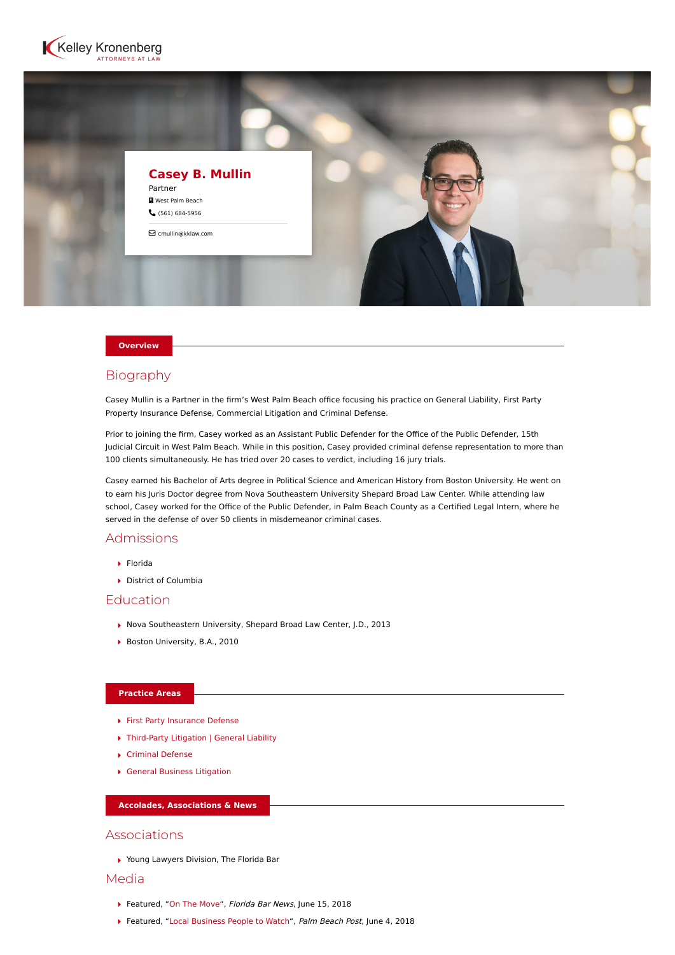



#### **Overview**

# Biography

Casey Mullin is a Partner in the firm's West Palm Beach office focusing his practice on General Liability, First Party Property Insurance Defense, Commercial Litigation and Criminal Defense.

Prior to joining the firm, Casey worked as an Assistant Public Defender for the Office of the Public Defender, 15th Judicial Circuit in West Palm Beach. While in this position, Casey provided criminal defense representation to more than 100 clients simultaneously. He has tried over 20 cases to verdict, including 16 jury trials.

Casey earned his Bachelor of Arts degree in Political Science and American History from Boston University. He went on to earn his Juris Doctor degree from Nova Southeastern University Shepard Broad Law Center. While attending law school, Casey worked for the Office of the Public Defender, in Palm Beach County as a Certified Legal Intern, where he served in the defense of over 50 clients in misdemeanor criminal cases.

# Admissions

- Florida
- District of Columbia

## **Education**

- ▶ Nova Southeastern University, Shepard Broad Law Center, J.D., 2013
- Boston University, B.A., 2010

#### **Practice Areas**

- [First Party Insurance Defense](https://www.kelleykronenberg.com/our-practices/first-party-insurance-defense-coverage-bad-faith/)
- [Third-Party Litigation | General Liability](https://www.kelleykronenberg.com/our-practices/third-party-insurance-defense/)
- [Criminal Defense](https://www.kelleykronenberg.com/our-practices/criminal-defense/)
- [General Business Litigation](https://www.kelleykronenberg.com/our-practices/business-law/general-business-litigation/)

**Accolades, Associations & News**

### Associations

▶ Young Lawyers Division, The Florida Bar

## Media

- Featured, ["On The Move"](https://www.floridabar.org/news/tfb-news/?durl=%2F__85256aa9005b9f25.nsf%2F0%2Fe982a5590f1ddfc5852582a60044b268), Florida Bar News, June 15, 2018
- ▶ Featured, ["Local Business People to Watch](https://www.kelleykronenberg.com/wp-content/uploads/2014/12/Local-Busines-People-to-Watch-Palm-Beach-Post-June-4-2018.pdf)", Palm Beach Post, June 4, 2018